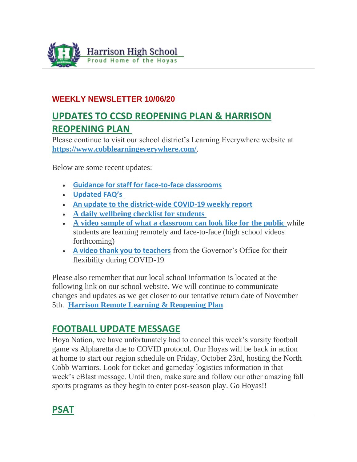

### **WEEKLY NEWSLETTER 10/06/20**

# **UPDATES TO CCSD REOPENING PLAN & HARRISON REOPENING PLAN**

Please continue to visit our school district's Learning Everywhere website at **<https://www.cobblearningeverywhere.com/>**.

Below are some recent updates:

- **[Guidance for staff for face-to-face classrooms](https://www.cobblearningeverywhere.com/wp-content/uploads/2020/09/Face-to-Face-Guidance-for-Staff.pdf)**
- **[Updated FAQ's](https://www.cobblearningeverywhere.com/faqs/)**
- **[An update to the district-wide COVID-19 weekly report](https://www.cobblearningeverywhere.com/cases/)**
- **[A daily wellbeing checklist for students](https://www.cobblearningeverywhere.com/wp-content/uploads/2020/09/Face-to-face-and-Remote-Reopening-Plan-With-Links.pdf)**
- **[A video sample of what a classroom can look like for the public](https://www.youtube.com/watch?v=_lo3x_soBAY&feature=youtu.be)** while students are learning remotely and face-to-face (high school videos forthcoming)
- **[A video thank you to teachers](https://www.youtube.com/watch?reload=9&v=z0cX6v1zo4E&feature=youtu.be)** from the Governor's Office for their flexibility during COVID-19

Please also remember that our local school information is located at the following link on our school website. We will continue to communicate changes and updates as we get closer to our tentative return date of November 5th. **[Harrison Remote Learning & Reopening Plan](http://www.harrisonhigh.org/Remote-Learning-Information)**

### **FOOTBALL UPDATE MESSAGE**

Hoya Nation, we have unfortunately had to cancel this week's varsity football game vs Alpharetta due to COVID protocol. Our Hoyas will be back in action at home to start our region schedule on Friday, October 23rd, hosting the North Cobb Warriors. Look for ticket and gameday logistics information in that week's eBlast message. Until then, make sure and follow our other amazing fall sports programs as they begin to enter post-season play. Go Hoyas!!

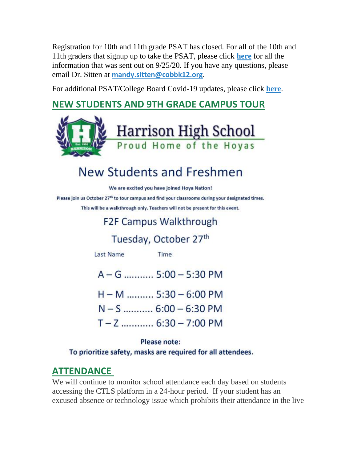Registration for 10th and 11th grade PSAT has closed. For all of the 10th and 11th graders that signup up to take the PSAT, please click **[here](http://www.harrisonhigh.org/PSAT)** for all the information that was sent out on 9/25/20. If you have any questions, please email Dr. Sitten at **[mandy.sitten@cobbk12.org](mailto:MANDY.SITTEN@cobbk12.org)**.

For additional PSAT/College Board Covid-19 updates, please click **[here](https://pages.collegeboard.org/sat-covid-19-updates)**.

# **NEW STUDENTS AND 9TH GRADE CAMPUS TOUR**



# New Students and Freshmen

We are excited you have joined Hova Nation!

Please join us October 27<sup>th</sup> to tour campus and find your classrooms during your designated times.

This will be a walkthrough only. Teachers will not be present for this event.

# **F2F Campus Walkthrough**

# Tuesday, October 27th

**Last Name** 

Time

 $A - G$  ........... 5:00 - 5:30 PM H-M .......... 5:30 - 6:00 PM  $N-S$  ........... 6:00 - 6:30 PM  $T - Z$  ............. 6:30 - 7:00 PM

#### Please note:

To prioritize safety, masks are required for all attendees.

### **ATTENDANCE**

We will continue to monitor school attendance each day based on students accessing the CTLS platform in a 24-hour period. If your student has an excused absence or technology issue which prohibits their attendance in the live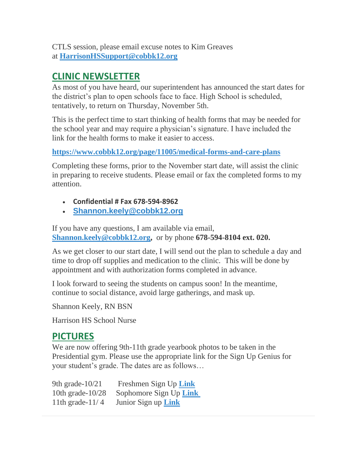CTLS session, please email excuse notes to Kim Greaves at **[HarrisonHSSupport@cobbk12.org](mailto:HarrisonHSSupport@cobbk12.org)**

### **CLINIC NEWSLETTER**

As most of you have heard, our superintendent has announced the start dates for the district's plan to open schools face to face. High School is scheduled, tentatively, to return on Thursday, November 5th.

This is the perfect time to start thinking of health forms that may be needed for the school year and may require a physician's signature. I have included the link for the health forms to make it easier to access.

### **<https://www.cobbk12.org/page/11005/medical-forms-and-care-plans>**

Completing these forms, prior to the November start date, will assist the clinic in preparing to receive students. Please email or fax the completed forms to my attention.

- **Confidential # Fax 678-594-8962**
- **[Shannon.keely@cobbk12.org](mailto:Shannon.Keely@cobbk12.org)**

If you have any questions, I am available via email, **[Shannon.keely@cobbk12.org,](mailto:Shannon.Keely@cobbk12.org)** or by phone **678-594-8104 ext. 020.**

As we get closer to our start date, I will send out the plan to schedule a day and time to drop off supplies and medication to the clinic. This will be done by appointment and with authorization forms completed in advance.

I look forward to seeing the students on campus soon! In the meantime, continue to social distance, avoid large gatherings, and mask up.

Shannon Keely, RN BSN

Harrison HS School Nurse

### **PICTURES**

We are now offering 9th-11th grade yearbook photos to be taken in the Presidential gym. Please use the appropriate link for the Sign Up Genius for your student's grade. The dates are as follows…

| 9th grade- $10/21$  | Freshmen Sign Up Link      |
|---------------------|----------------------------|
| 10th grade- $10/28$ | Sophomore Sign Up Link     |
| 11th grade- $11/4$  | Junior Sign up <b>Link</b> |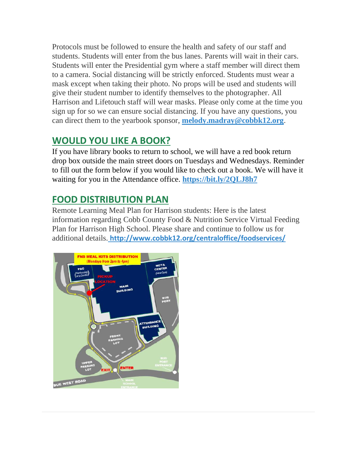Protocols must be followed to ensure the health and safety of our staff and students. Students will enter from the bus lanes. Parents will wait in their cars. Students will enter the Presidential gym where a staff member will direct them to a camera. Social distancing will be strictly enforced. Students must wear a mask except when taking their photo. No props will be used and students will give their student number to identify themselves to the photographer. All Harrison and Lifetouch staff will wear masks. Please only come at the time you sign up for so we can ensure social distancing. If you have any questions, you can direct them to the yearbook sponsor, **[melody.madray@cobbk12.org](mailto:melody.madray@cobbk12.org)**.

## **WOULD YOU LIKE A BOOK?**

If you have library books to return to school, we will have a red book return drop box outside the main street doors on Tuesdays and Wednesdays. Reminder to fill out the form below if you would like to check out a book. We will have it waiting for you in the Attendance office. **<https://bit.ly/2QLJ8h7>**

# **FOOD DISTRIBUTION PLAN**

Remote Learning Meal Plan for Harrison students: Here is the latest information regarding Cobb County Food & Nutrition Service Virtual Feeding Plan for Harrison High School. Please share and continue to follow us for additional details. **[http://www.cobbk12.org/centraloffice/foodservices/](http://info.cobbk12.org/centraloffice/foodservices/)**

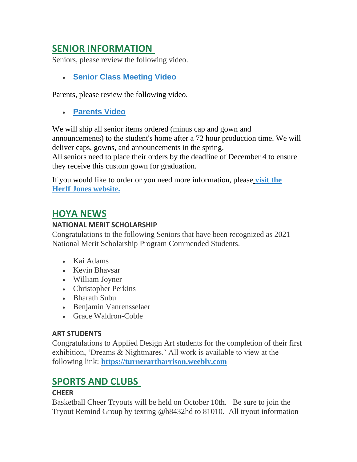### **SENIOR INFORMATION**

Seniors, please review the following video.

• **[Senior Class Meeting Video](https://vimeo.com/452270720/a229e01e97)**

Parents, please review the following video.

• **[Parents Video](https://youtu.be/Y6hxOOJn-YY)**

We will ship all senior items ordered (minus cap and gown and announcements) to the student's home after a 72 hour production time. We will deliver caps, gowns, and announcements in the spring.

All seniors need to place their orders by the deadline of December 4 to ensure they receive this custom gown for graduation.

If you would like to order or you need more information, pleas[e](https://www.herffatlanta.com/) **[visit the](https://www.herffatlanta.com/)  [Herff Jones website.](https://www.herffatlanta.com/)**

### **HOYA NEWS**

### **NATIONAL MERIT SCHOLARSHIP**

Congratulations to the following Seniors that have been recognized as 2021 National Merit Scholarship Program Commended Students.

- Kai Adams
- Kevin Bhavsar
- William Joyner
- Christopher Perkins
- Bharath Subu
- Benjamin Vanrensselaer
- Grace Waldron-Coble

### **ART STUDENTS**

Congratulations to Applied Design Art students for the completion of their first exhibition, 'Dreams & Nightmares.' All work is available to view at the following link: **[https://turnerartharrison.weebly.com](https://turnerartharrison.weebly.com/)**

### **SPORTS AND CLUBS**

### **CHEER**

Basketball Cheer Tryouts will be held on October 10th. Be sure to join the Tryout Remind Group by texting @h8432hd to 81010. All tryout information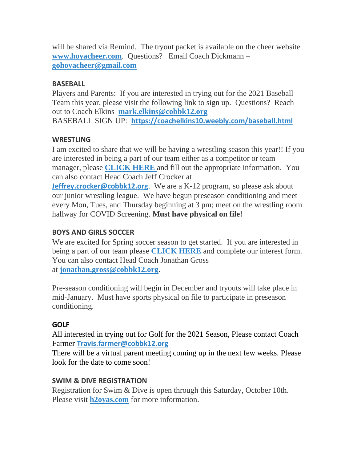will be shared via Remind. The tryout packet is available on the cheer website **[www.hoyacheer.com](http://www.hoyacheer.com/)**. Questions? Email Coach Dickmann – **[gohoyacheer@gmail.com](mailto:gohoyacheer@gmail.com)**

#### **BASEBALL**

Players and Parents: If you are interested in trying out for the 2021 Baseball Team this year, please visit the following link to sign up. Questions? Reach out to Coach Elkins **[mark.elkins@cobbk12.org](mailto:mark.elkins@cobbk12.org)** BASEBALL SIGN UP: **<https://coachelkins10.weebly.com/baseball.html>**

### **WRESTLING**

I am excited to share that we will be having a wrestling season this year!! If you are interested in being a part of our team either as a competitor or team manager, please **[CLICK HERE](https://forms.gle/LAkbS4Nikxyg5T6Z9)** and fill out the appropriate information. You can also contact Head Coach Jeff Crocker at

**[Jeffrey.crocker@cobbk12.org](mailto:Jeffrey.Crocker@cobbk12.org).** We are a K-12 program, so please ask about our junior wrestling league. We have begun preseason conditioning and meet every Mon, Tues, and Thursday beginning at 3 pm; meet on the wrestling room hallway for COVID Screening. **Must have physical on file!**

### **BOYS AND GIRLS SOCCER**

We are excited for Spring soccer season to get started. If you are interested in being a part of our team please **[CLICK HERE](https://docs.google.com/forms/d/e/1FAIpQLSejVKRJ30_WmtRggRtJzXt1gSYOyU3GKbXnam36p6NlfhZtmw/viewform?vc=0&c=0&w=1&flr=0&gxids=7757)** and complete our interest form. You can also contact Head Coach Jonathan Gross at **[jonathan.gross@cobbk12.org](mailto:jonathan.gross@cobbk12.org)**.

Pre-season conditioning will begin in December and tryouts will take place in mid-January. Must have sports physical on file to participate in preseason conditioning.

### **GOLF**

All interested in trying out for Golf for the 2021 Season, Please contact Coach Farmer **[Travis.farmer@cobbk12.org](mailto:%20Travis.farmer@cobbk12.org)**

There will be a virtual parent meeting coming up in the next few weeks. Please look for the date to come soon!

### **SWIM & DIVE REGISTRATION**

Registration for Swim & Dive is open through this Saturday, October 10th. Please visit **[h2oyas.com](https://www.teamunify.com/Home.jsp?team=gahh)** for more information.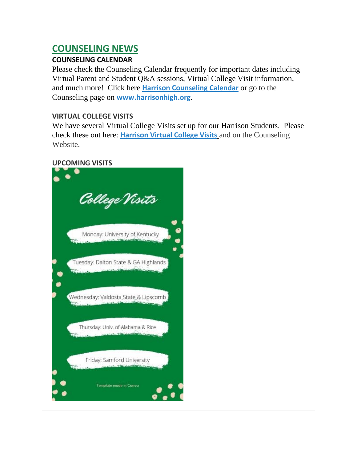### **COUNSELING NEWS**

### **COUNSELING CALENDAR**

Please check the Counseling Calendar frequently for important dates including Virtual Parent and Student Q&A sessions, Virtual College Visit information, and much more! Click here **[Harrison Counseling Calendar](https://calendar.google.com/calendar/embed?src=tasr4q5spailsj1itftjdtn6mk%40group.calendar.google.com&ctz=America%2FNew_York)** or go to the Counseling page on **[www.harrisonhigh.org](http://www.harrisonhigh.org/)**.

### **VIRTUAL COLLEGE VISITS**

We have several Virtual College Visits set up for our Harrison Students. Please check these out here: **[Harrison Virtual College Visits](https://cobbk12org-my.sharepoint.com/:x:/g/personal/leanna_kor_cobbk12_org/EWP6BGgLdCBOvhv5RDRuCVwBqHA2jXXmnAUqr7hXgxEU7w?rtime=t-E10MJN2Eg)** and on the Counseling Website.

#### **UPCOMING VISITS**

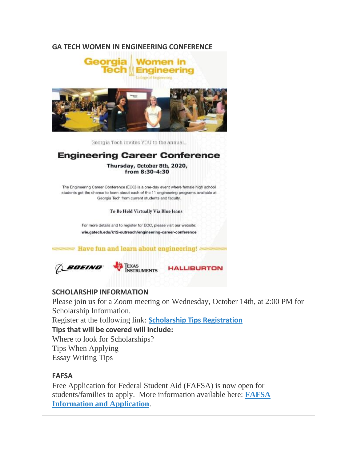#### **GA TECH WOMEN IN ENGINEERING CONFERENCE**



Georgia Tech invites YOU to the annual...

### **Engineering Career Conference**

Thursday, October 8th, 2020, from 8:30-4:30

The Engineering Career Conference (ECC) is a one-day event where female high school students get the chance to learn about each of the 11 engineering programs available at Georgia Tech from current students and faculty.

To Be Held Virtually Via Blue Jeans

For more details and to register for ECC, please visit our website: wie.gatech.edu/k12-outreach/engineering-career-conference

unnummun Have fun and learn about engineering! nunnummun

**BOEING** 



**HALLIBURTON** 

#### **SCHOLARSHIP INFORMATION**

Please join us for a Zoom meeting on Wednesday, October 14th, at 2:00 PM for Scholarship Information.

Register at the following link: **[Scholarship Tips Registration](https://forms.office.com/Pages/ResponsePage.aspx?id=-x3OL5-ROEmquMR_D8kYLaUD1K_Pl6ZOsbbAKVJkKlFUQjdKS1gyR004SVVQUFlXVk9TTlZUOUtRUC4u)**

**Tips that will be covered will include:**

Where to look for Scholarships? Tips When Applying Essay Writing Tips

#### **FAFSA**

Free Application for Federal Student Aid (FAFSA) is now open for students/families to apply. More information available here: **[FAFSA](https://www.google.com/url?q=https://www.salliemae.com/college-planning/financial-aid/fafsa/?dtd_cell%3DSMPLCADCOTDOOTOTOTHOTHRN010042&sa=D&source=calendar&usd=2&usg=AOvVaw3KtidqSBTCgmhtou0nHHxw)  [Information and Application](https://www.google.com/url?q=https://www.salliemae.com/college-planning/financial-aid/fafsa/?dtd_cell%3DSMPLCADCOTDOOTOTOTHOTHRN010042&sa=D&source=calendar&usd=2&usg=AOvVaw3KtidqSBTCgmhtou0nHHxw)**.